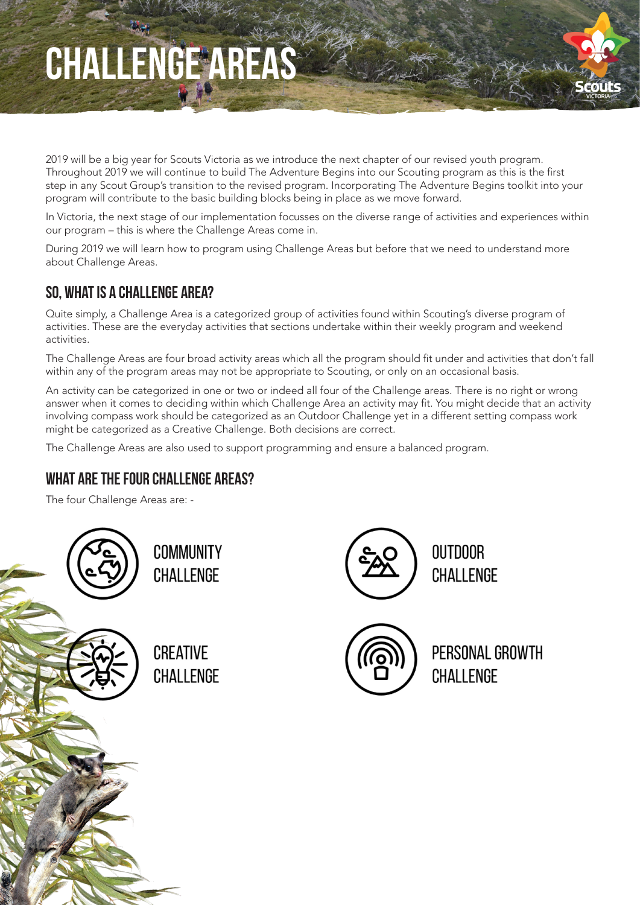## CHALLENGE AREAS



2019 will be a big year for Scouts Victoria as we introduce the next chapter of our revised youth program. Throughout 2019 we will continue to build The Adventure Begins into our Scouting program as this is the first step in any Scout Group's transition to the revised program. Incorporating The Adventure Begins toolkit into your program will contribute to the basic building blocks being in place as we move forward.

In Victoria, the next stage of our implementation focusses on the diverse range of activities and experiences within our program – this is where the Challenge Areas come in.

During 2019 we will learn how to program using Challenge Areas but before that we need to understand more about Challenge Areas.

### SO, WHAT IS A CHALLENGE AREA?

Quite simply, a Challenge Area is a categorized group of activities found within Scouting's diverse program of activities. These are the everyday activities that sections undertake within their weekly program and weekend activities.

The Challenge Areas are four broad activity areas which all the program should fit under and activities that don't fall within any of the program areas may not be appropriate to Scouting, or only on an occasional basis.

An activity can be categorized in one or two or indeed all four of the Challenge areas. There is no right or wrong answer when it comes to deciding within which Challenge Area an activity may fit. You might decide that an activity involving compass work should be categorized as an Outdoor Challenge yet in a different setting compass work might be categorized as a Creative Challenge. Both decisions are correct.

The Challenge Areas are also used to support programming and ensure a balanced program.

#### WHAT ARE THE FOUR CHALLENGE AREAS?

The four Challenge Areas are: -